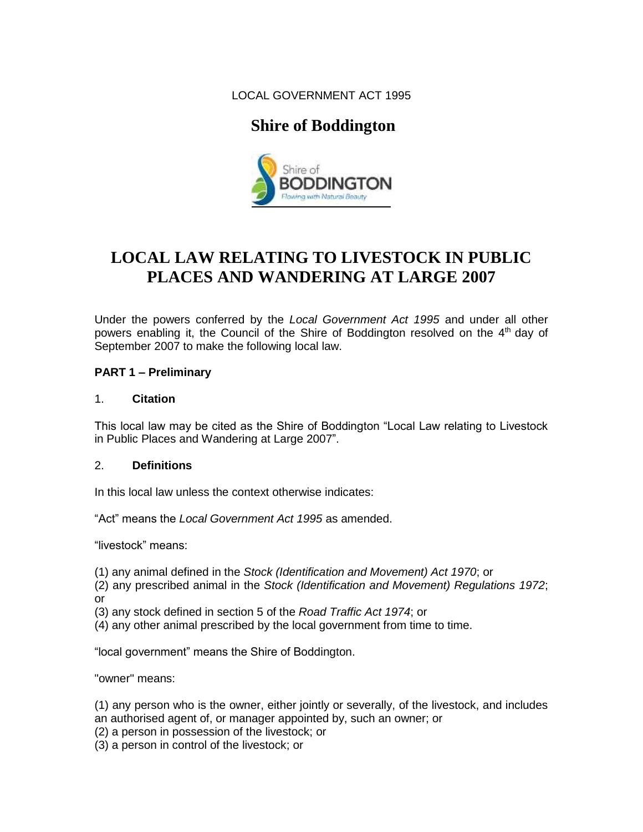LOCAL GOVERNMENT ACT 1995

## **Shire of Boddington**



# **LOCAL LAW RELATING TO LIVESTOCK IN PUBLIC PLACES AND WANDERING AT LARGE 2007**

Under the powers conferred by the *Local Government Act 1995* and under all other powers enabling it, the Council of the Shire of Boddington resolved on the 4<sup>th</sup> day of September 2007 to make the following local law.

## **PART 1 – Preliminary**

## 1. **Citation**

This local law may be cited as the Shire of Boddington "Local Law relating to Livestock in Public Places and Wandering at Large 2007".

## 2. **Definitions**

In this local law unless the context otherwise indicates:

"Act" means the *Local Government Act 1995* as amended.

"livestock" means:

(1) any animal defined in the *Stock (Identification and Movement) Act 1970*; or

(2) any prescribed animal in the *Stock (Identification and Movement) Regulations 1972*; or

(3) any stock defined in section 5 of the *Road Traffic Act 1974*; or

(4) any other animal prescribed by the local government from time to time.

"local government" means the Shire of Boddington.

"owner" means:

(1) any person who is the owner, either jointly or severally, of the livestock, and includes an authorised agent of, or manager appointed by, such an owner; or

- (2) a person in possession of the livestock; or
- (3) a person in control of the livestock; or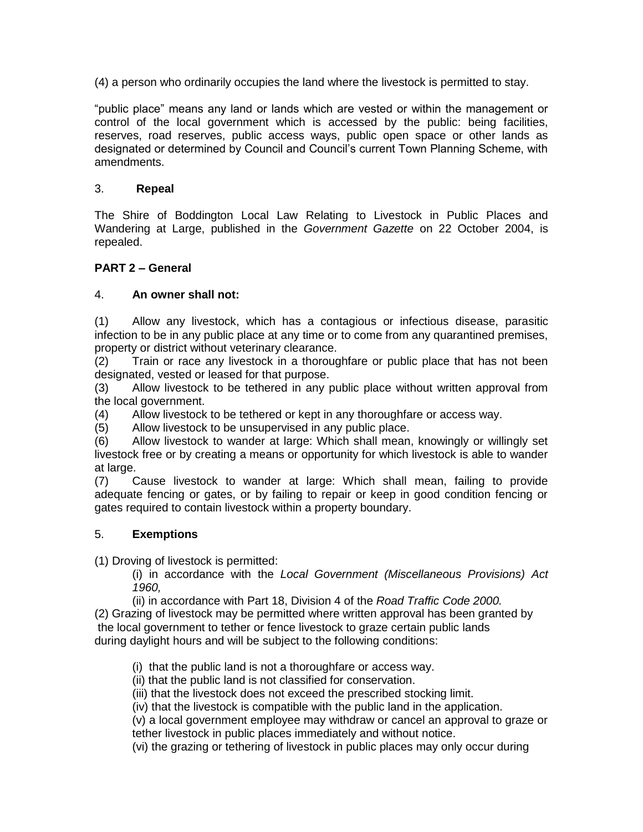(4) a person who ordinarily occupies the land where the livestock is permitted to stay.

"public place" means any land or lands which are vested or within the management or control of the local government which is accessed by the public: being facilities, reserves, road reserves, public access ways, public open space or other lands as designated or determined by Council and Council's current Town Planning Scheme, with amendments.

#### 3. **Repeal**

The Shire of Boddington Local Law Relating to Livestock in Public Places and Wandering at Large, published in the *Government Gazette* on 22 October 2004, is repealed.

## **PART 2 – General**

#### 4. **An owner shall not:**

(1) Allow any livestock, which has a contagious or infectious disease, parasitic infection to be in any public place at any time or to come from any quarantined premises, property or district without veterinary clearance.

(2) Train or race any livestock in a thoroughfare or public place that has not been designated, vested or leased for that purpose.

(3) Allow livestock to be tethered in any public place without written approval from the local government.

(4) Allow livestock to be tethered or kept in any thoroughfare or access way.

(5) Allow livestock to be unsupervised in any public place.

(6) Allow livestock to wander at large: Which shall mean, knowingly or willingly set livestock free or by creating a means or opportunity for which livestock is able to wander at large.

(7) Cause livestock to wander at large: Which shall mean, failing to provide adequate fencing or gates, or by failing to repair or keep in good condition fencing or gates required to contain livestock within a property boundary.

#### 5. **Exemptions**

(1) Droving of livestock is permitted:

(i) in accordance with the *Local Government (Miscellaneous Provisions) Act 1960,* 

(ii) in accordance with Part 18, Division 4 of the *Road Traffic Code 2000.*

(2) Grazing of livestock may be permitted where written approval has been granted by the local government to tether or fence livestock to graze certain public lands during daylight hours and will be subject to the following conditions:

(i) that the public land is not a thoroughfare or access way.

(ii) that the public land is not classified for conservation.

(iii) that the livestock does not exceed the prescribed stocking limit.

(iv) that the livestock is compatible with the public land in the application.

(v) a local government employee may withdraw or cancel an approval to graze or tether livestock in public places immediately and without notice.

(vi) the grazing or tethering of livestock in public places may only occur during